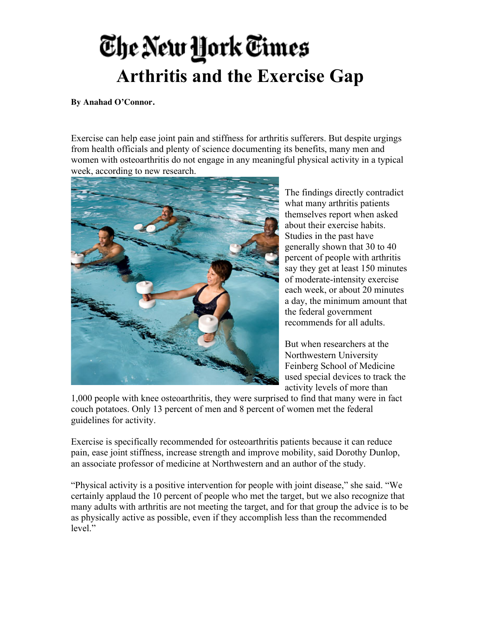## The New York Times **Arthritis and the Exercise Gap**

## **By Anahad O'Connor.**

Exercise can help ease joint pain and stiffness for arthritis sufferers. But despite urgings from health officials and plenty of science documenting its benefits, many men and women with osteoarthritis do not engage in any meaningful physical activity in a typical week, according to new research.



The findings directly contradict what many arthritis patients themselves report when asked about their exercise habits. Studies in the past have generally shown that 30 to 40 percent of people with arthritis say they get at least 150 minutes of moderate-intensity exercise each week, or about 20 minutes a day, the minimum amount that the federal government recommends for all adults.

But when researchers at the Northwestern University Feinberg School of Medicine used special devices to track the activity levels of more than

1,000 people with knee osteoarthritis, they were surprised to find that many were in fact couch potatoes. Only 13 percent of men and 8 percent of women met the federal guidelines for activity.

Exercise is specifically recommended for osteoarthritis patients because it can reduce pain, ease joint stiffness, increase strength and improve mobility, said Dorothy Dunlop, an associate professor of medicine at Northwestern and an author of the study.

"Physical activity is a positive intervention for people with joint disease," she said. "We certainly applaud the 10 percent of people who met the target, but we also recognize that many adults with arthritis are not meeting the target, and for that group the advice is to be as physically active as possible, even if they accomplish less than the recommended level."